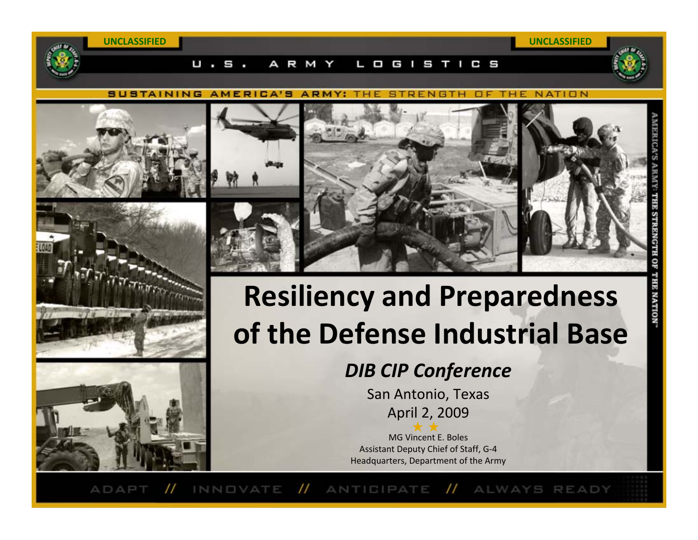**SUSTAINING AMERICA'S ARMY: THE STRENGTH** OF THE NATION

Ο

G

w





Ш



1 C S

# **Resiliency and Preparedness of the Defense Industrial Base**

*DIB CIP Conference*

San Antonio, Texas April 2, 2009

MG Vincent E. Boles Assistant Deputy Chief of Staff, G‐4 Headquarters, Department of the Army

 $^{\prime\prime}$  $^{\prime\prime}$ ANTICIPATE // ALWAYS READY ADAPT INNOVATE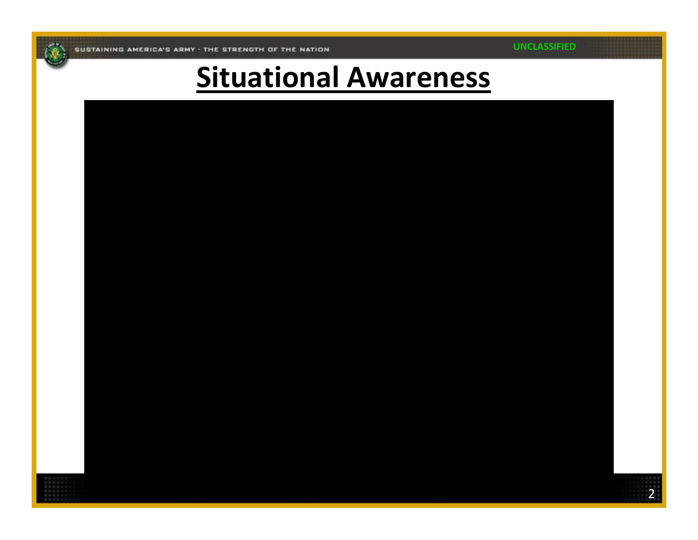**UNCLASSIFIED**

### **Situational Awareness**

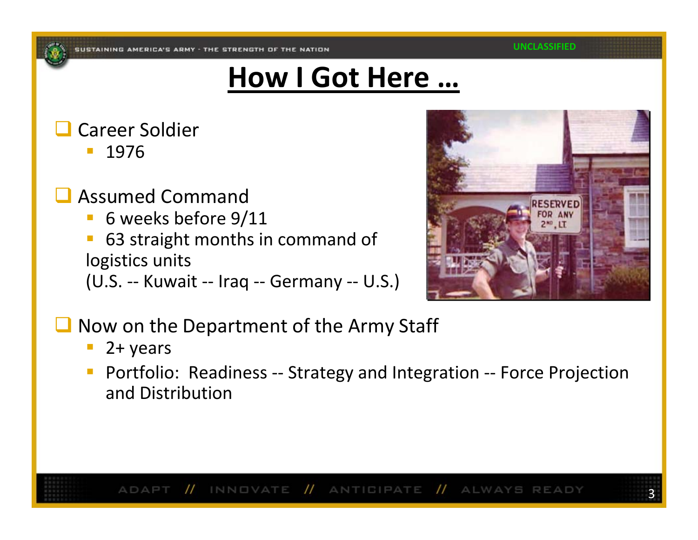## **How I Got Here …**

#### $\Box$ Career Soldier

1976

- $\Box$  Assumed Command
	- $\mathbb{R}^3$ **6** weeks before  $9/11$
	- 63 straight months in command of logistics units
	- (U.S. ‐‐ Kuwait ‐‐ Iraq ‐‐ Germany ‐‐ U.S.)



- $\Box$  Now on the Department of the Army Staff
	- $\blacksquare$  2+ years
	- $\mathbb{R}^n$  Portfolio: Readiness ‐‐ Strategy and Integration ‐‐ Force Projection and Distribution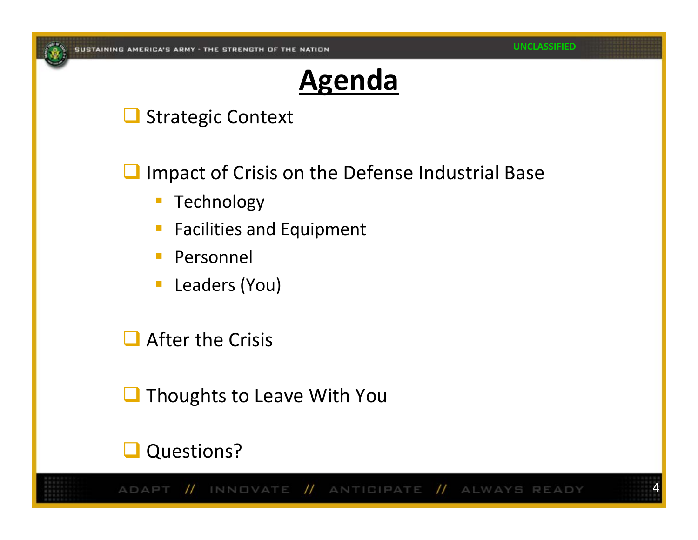

#### **Agenda**

#### Strategic Context

 $\Box$ Impact of Crisis on the Defense Industrial Base

- $\overline{\phantom{a}}$ Technology
- $\mathbb{R}^3$ **Facilities and Equipment**
- $\mathcal{L}^{\mathcal{L}}$ Personnel
- $\overline{\phantom{a}}$ Leaders (You)

 $\Box$  After the Crisis

**Thoughts to Leave With You** 

#### Questions?

// INNOVATE // ANTIGIPATE // ALWAYS READY ADAPT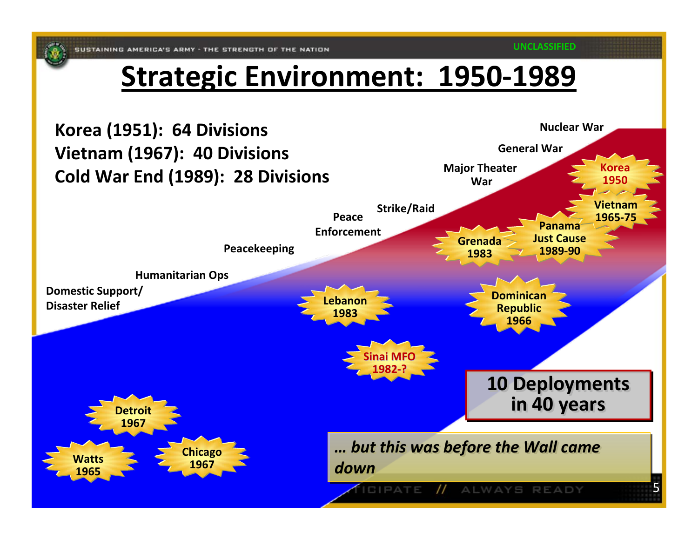#### **Strategic Environment: 1950‐1989**

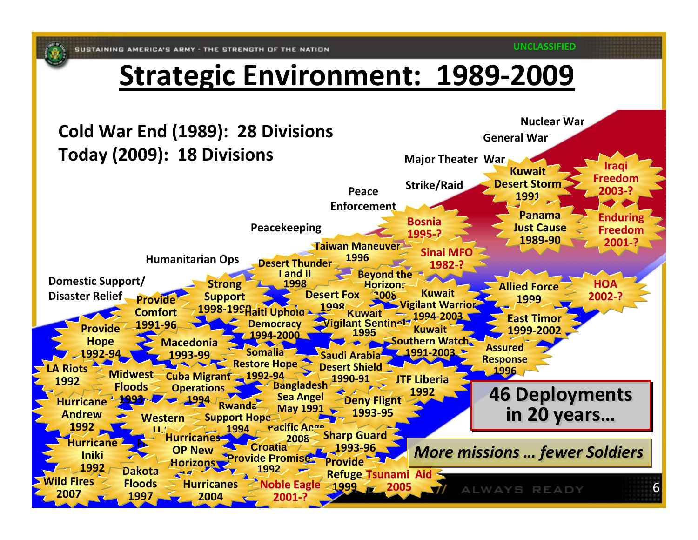#### **Strategic Environment: 1989 ‐2009**

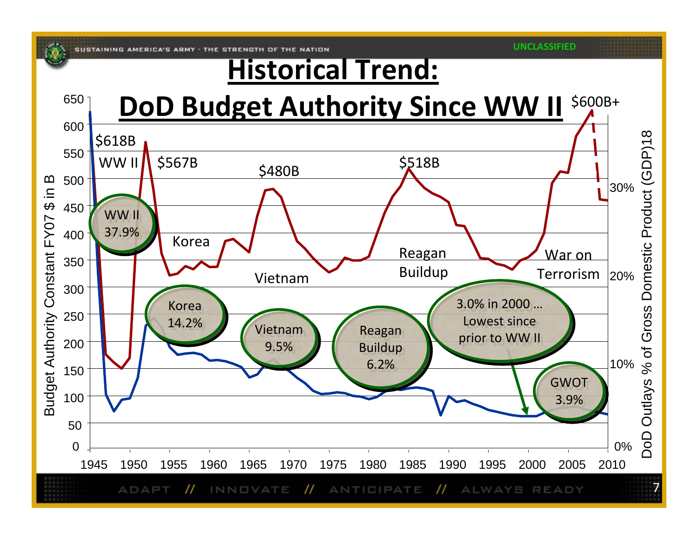#### **Historical Trend:**

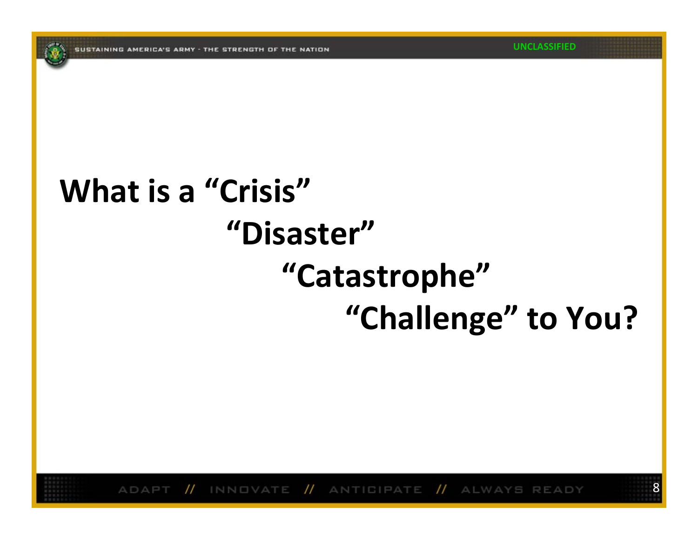# **What is a "Crisis" "Disaster""Catastrophe" "Challenge" to You?**

// INNOVATE // ANTIGIPATE // ALWAYS READY ADAPT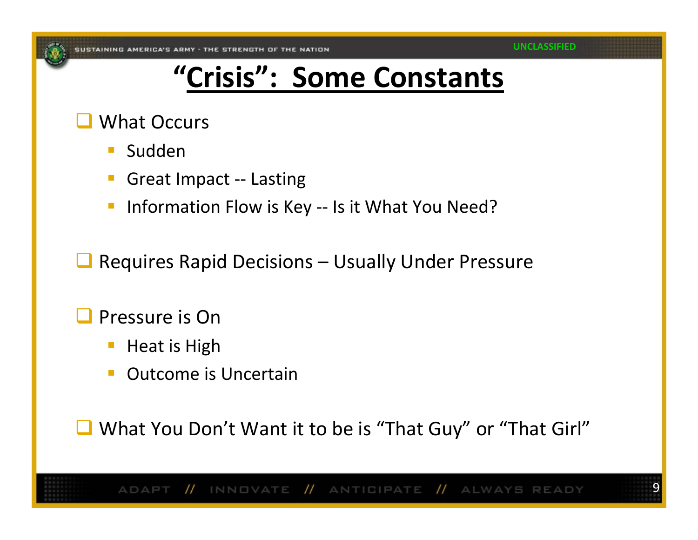## **"Crisis": Some Constants**

#### $\Box$ What Occurs

- $\mathcal{L}_{\mathcal{A}}$ Sudden
- Great Impact ‐‐ Lasting
- Information Flow is Key -- Is it What You Need?
- $\Box$ Requires Rapid Decisions – Usually Under Pressure
- $\Box$  Pressure is On
	- Heat is High
	- **Outcome is Uncertain**

■ What You Don't Want it to be is "That Guy" or "That Girl"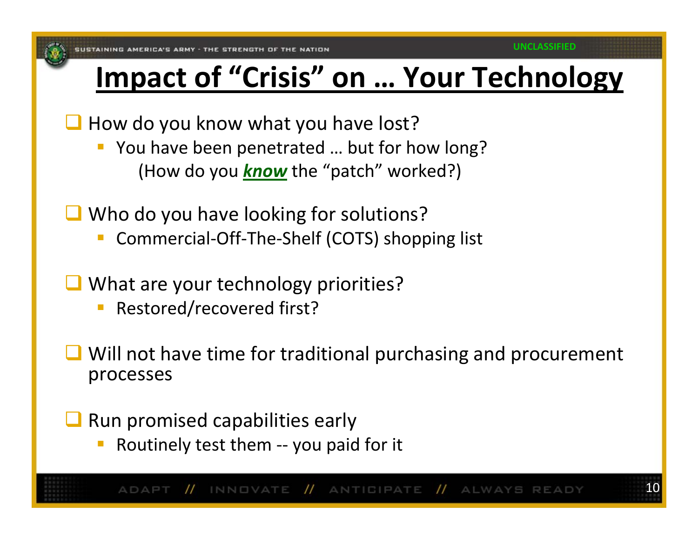### **Impact of "Crisis" on … Your Technology**

 $\Box$  How do you know what you have lost?

- **P** You have been penetrated ... but for how long? (How do you *know* the "patch" worked?)
- **Q** Who do you have looking for solutions?
	- Commercial‐Off‐The‐Shelf (COTS) shopping list
- **Q** What are your technology priorities?
	- Restored/recovered first?
- $\Box$  Will not have time for traditional purchasing and procurement processes

 $\Box$ Run promised capabilities early

Routinely test them ‐‐ you paid for it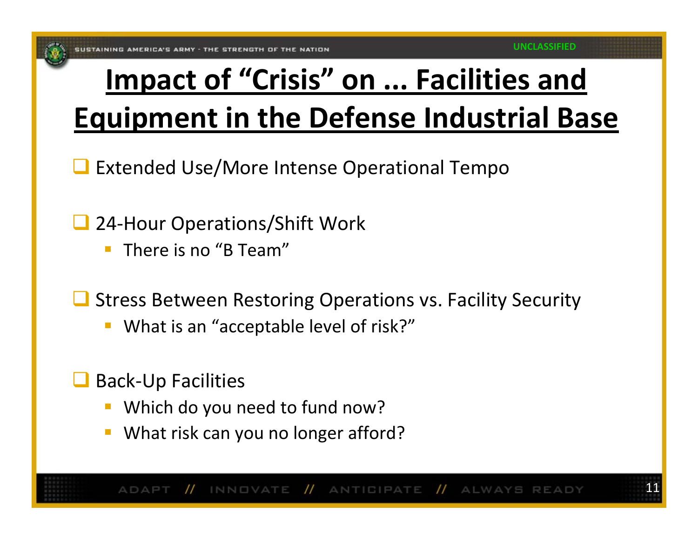# **Impact of "Crisis" on ... Facilities and Equipment in the Defense Industrial Base**

- $\Box$ Extended Use/More Intense Operational Tempo
- $\Box$  24‐Hour Operations/Shift Work
	- $\mathbb{R}^n$ **There is no "B Team"**
- $\Box$  Stress Between Restoring Operations vs. Facility Security
	- What is an "acceptable level of risk?"
- $\Box$  Back‐Up Facilities
	- **Which do you need to fund now?**
	- **What risk can you no longer afford?**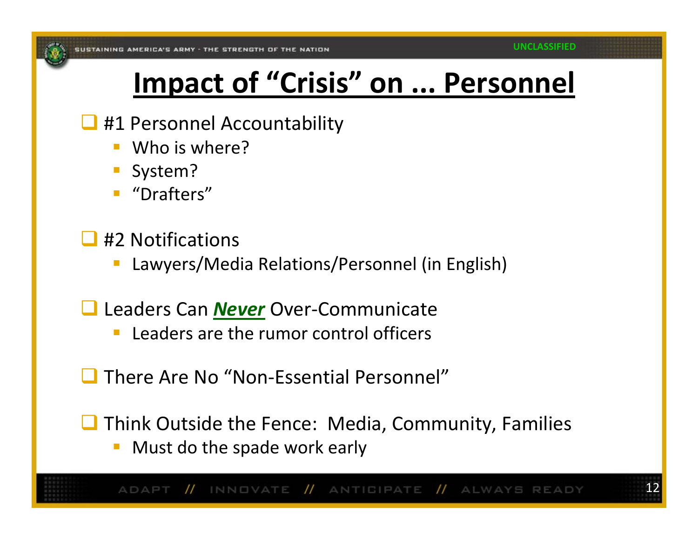## **Impact of "Crisis" on ... Personnel**

#### **41 Personnel Accountability**

- Who is where?
- T. System?
- "Drafters"
- $\Box$  #2 Notifications
	- Lawyers/Media Relations/Personnel (in English)
- Leaders Can *Never* Over‐Communicate
	- **Leaders are the rumor control officers**
- There Are No "Non-Essential Personnel"
- $\Box$  Think Outside the Fence: Media, Community, Families
	- **Must do the spade work early**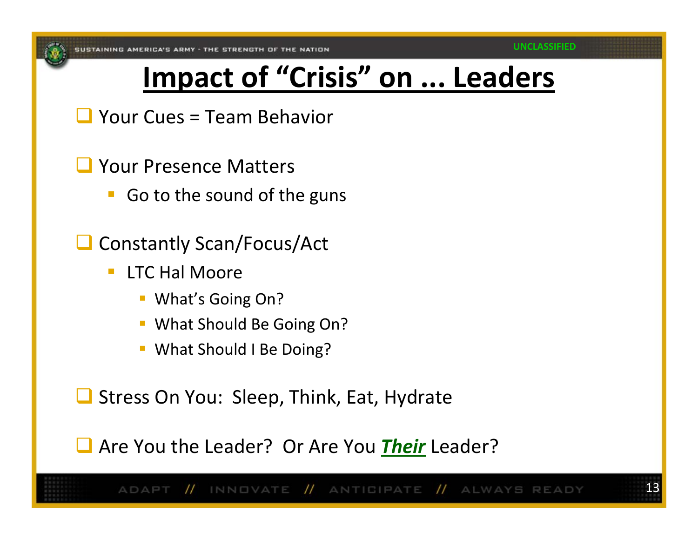## **Impact of "Crisis" on ... Leaders**

- $\Box$  Your Cues = Team Behavior
- **Q** Your Presence Matters
	- **Go to the sound of the guns**
- □ Constantly Scan/Focus/Act
	- $\mathbb{R}^n$ **LTC Hal Moore** 
		- What's Going On?
		- **What Should Be Going On?**
		- **What Should I Be Doing?**

Stress On You: Sleep, Think, Eat, Hydrate

Are You the Leader? Or Are You *Their* Leader?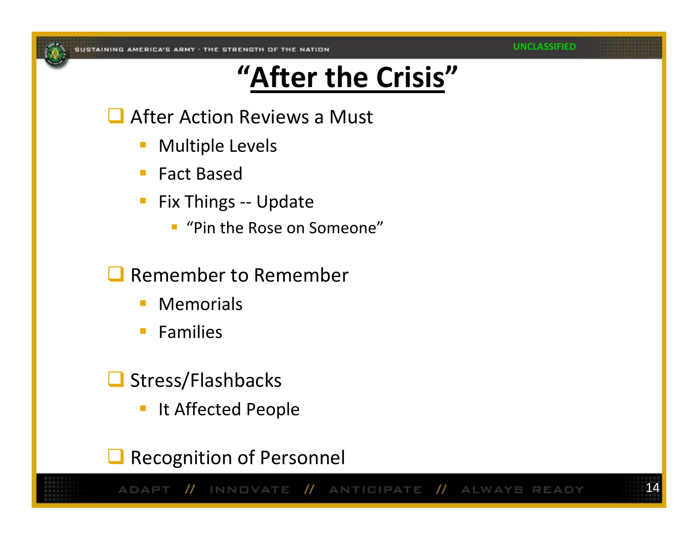#### **UNCLASSIFIED**

14

## **"After the Crisis"**

**After Action Reviews a Must** 

- T. Multiple Levels
- $\mathbb{R}^n$ Fact Based
- Fix Things ‐‐ Update
	- $\overline{\phantom{a}}$ "Pin the Rose on Someone"
- $\Box$  Remember to Remember
	- $\mathcal{L}^{\mathcal{L}}$ Memorials
	- $\mathbb{R}^n$ Families
- Stress/Flashbacks
	- **IF It Affected People**

 $\Box$ Recognition of Personnel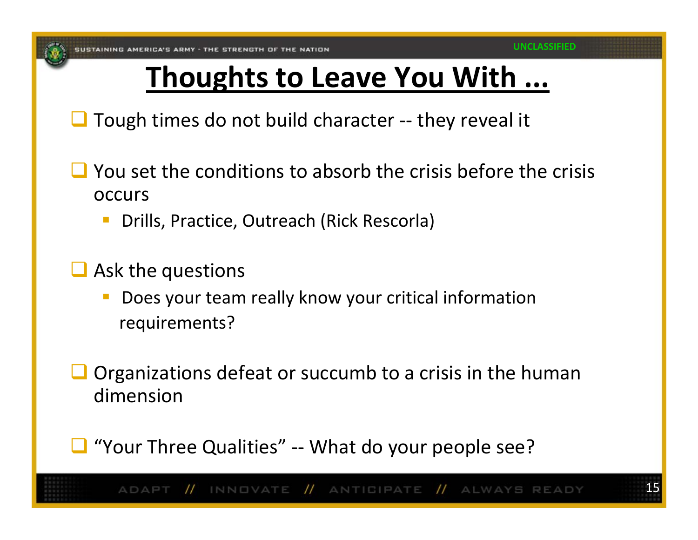## **Thoughts to Leave You With ...**

 $\Box$  Tough times do not build character -- they reveal it

- $\Box$  You set the conditions to absorb the crisis before the crisis occurs
	- Drills, Practice, Outreach (Rick Rescorla)
- $\Box$  Ask the questions
	- Does your team really know your critical information requirements?
- $\Box$  Organizations defeat or succumb to a crisis in the human dimension
- "Your Three Qualities" -- What do your people see?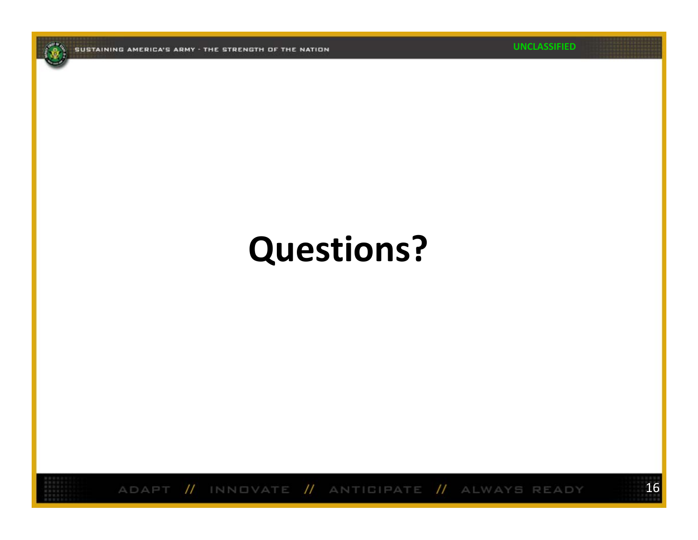**UNCLASSIFIED**

16



ADAPT // INNOVATE // ANTIGIPATE // ALWAYS READY